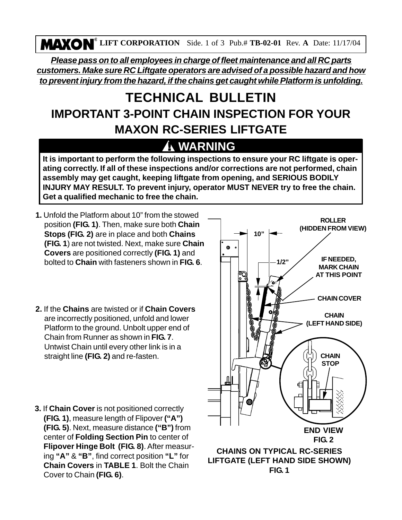**LIFT CORPORATION** Side. 1 of 3 Pub.# **TB-02-01** Rev. **A** Date: 11/17/04

*Please pass on to all employees in charge of fleet maintenance and all RC parts customers. Make sure RC Liftgate operators are advised of a possible hazard and how to prevent injury from the hazard, if the chains get caught while Platform is unfolding.*

## **TECHNICAL BULLETIN IMPORTANT 3-POINT CHAIN INSPECTION FOR YOUR MAXON RC-SERIES LIFTGATE**

## **! WARNING**

**It is important to perform the following inspections to ensure your RC liftgate is operating correctly. If all of these inspections and/or corrections are not performed, chain assembly may get caught, keeping liftgate from opening, and SERIOUS BODILY INJURY MAY RESULT. To prevent injury, operator MUST NEVER try to free the chain. Get a qualified mechanic to free the chain.**

- **1.** Unfold the Platform about 10" from the stowed position **(FIG. 1)**. Then, make sure both **Chain Stops (FIG. 2)** are in place and both **Chains (FIG. 1**) are not twisted. Next, make sure **Chain Covers** are positioned correctly **(FIG. 1)** and bolted to **Chain** with fasteners shown in **FIG. 6**.
- **2.** If the **Chains** are twisted or if **Chain Covers** are incorrectly positioned, unfold and lower Platform to the ground. Unbolt upper end of Chain from Runner as shown in **FIG. 7**. Untwist Chain until every other link is in a straight line **(FIG. 2)** and re-fasten.
- **3.** If **Chain Cover** is not positioned correctly **(FIG. 1)**, measure length of Flipover **("A") (FIG. 5)**. Next, measure distance **("B")** from center of **Folding Section Pin** to center of **Flipover Hinge Bolt (FIG. 8)**. After measuring **"A"** & **"B"**, find correct position **"L"** for **Chain Covers** in **TABLE 1**. Bolt the Chain Cover to Chain **(FIG. 6)**.

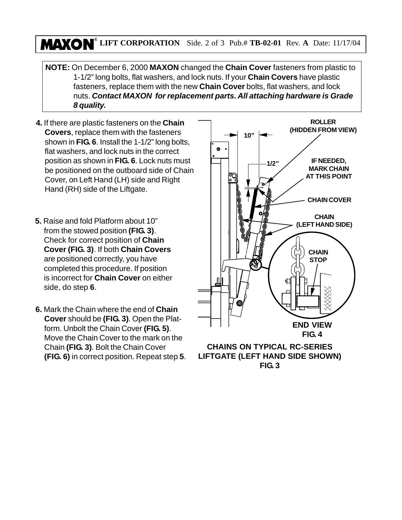## **LIFT CORPORATION** Side. 2 of 3 Pub.# **TB-02-01** Rev. **A** Date: 11/17/04

- **NOTE:** On December 6, 2000 **MAXON** changed the **Chain Cover** fasteners from plastic to 1-1/2" long bolts, flat washers, and lock nuts. If your **Chain Covers** have plastic fasteners, replace them with the new **Chain Cover** bolts, flat washers, and lock nuts. *Contact MAXON for replacement parts. All attaching hardware is Grade 8 quality.*
- **4.** If there are plastic fasteners on the **Chain Covers**, replace them with the fasteners shown in **FIG. 6**. Install the 1-1/2" long bolts, flat washers, and lock nuts in the correct position as shown in **FIG. 6**. Lock nuts must be positioned on the outboard side of Chain Cover, on Left Hand (LH) side and Right Hand (RH) side of the Liftgate.
- **5.** Raise and fold Platform about 10" from the stowed position **(FIG. 3)**. Check for correct position of **Chain Cover (FIG. 3)**. If both **Chain Covers** are positioned correctly, you have completed this procedure. If position is incorrect for **Chain Cover** on either side, do step **6**.
- **6.** Mark the Chain where the end of **Chain Cover** should be **(FIG. 3)**. Open the Platform. Unbolt the Chain Cover **(FIG. 5)**. Move the Chain Cover to the mark on the Chain **(FIG. 3)**. Bolt the Chain Cover **(FIG. 6)** in correct position. Repeat step **5**.